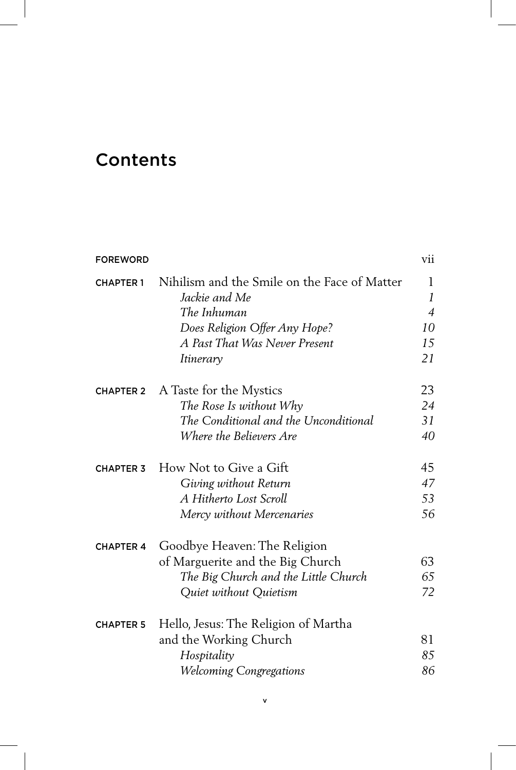## Contents

| <b>FOREWORD</b>  |                                                               | vii            |
|------------------|---------------------------------------------------------------|----------------|
| <b>CHAPTER 1</b> | Nihilism and the Smile on the Face of Matter<br>Jackie and Me | 1<br>1         |
|                  | The Inhuman                                                   | $\overline{4}$ |
|                  | Does Religion Offer Any Hope?                                 | 10             |
|                  | A Past That Was Never Present                                 | 15             |
|                  | Itinerary                                                     | 21             |
| <b>CHAPTER 2</b> | A Taste for the Mystics                                       | 23             |
|                  | The Rose Is without Why                                       | 24             |
|                  | The Conditional and the Unconditional                         | 31             |
|                  | Where the Believers Are                                       | 40             |
| <b>CHAPTER 3</b> | How Not to Give a Gift                                        | 45             |
|                  | Giving without Return                                         | 47             |
|                  | A Hitherto Lost Scroll                                        | 53             |
|                  | Mercy without Mercenaries                                     | 56             |
| <b>CHAPTER 4</b> | Goodbye Heaven: The Religion                                  |                |
|                  | of Marguerite and the Big Church                              | 63             |
|                  | The Big Church and the Little Church                          | 65             |
|                  | Quiet without Quietism                                        | 72             |
| <b>CHAPTER 5</b> | Hello, Jesus: The Religion of Martha                          |                |
|                  | and the Working Church                                        | 81             |
|                  | Hospitality                                                   | 85             |
|                  | <b>Welcoming Congregations</b>                                | 86             |
|                  |                                                               |                |